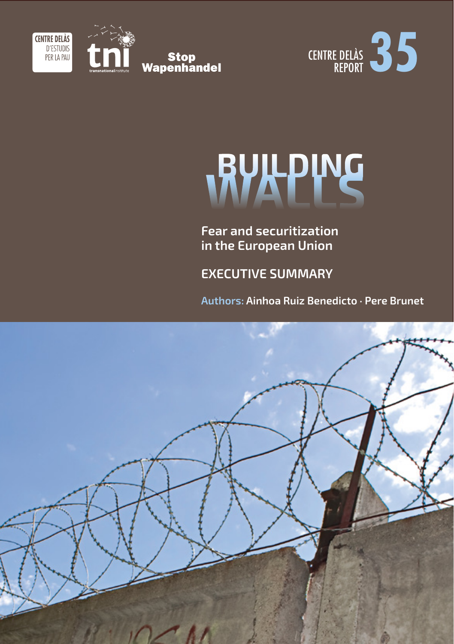



# RUILPING

**Fear and securitization in the European Union**

**EXECUTIVE SUMMARY** 

**Authors: Ainhoa Ruiz Benedicto · Pere Brunet**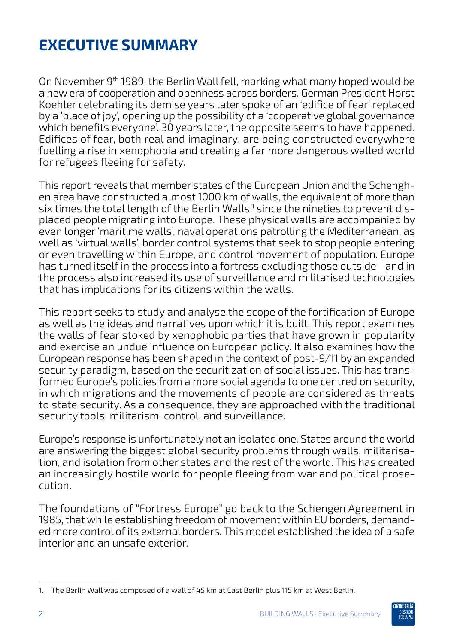## **Executive Summary**

On November 9<sup>th</sup> 1989, the Berlin Wall fell, marking what many hoped would be a new era of cooperation and openness across borders. German President Horst Koehler celebrating its demise years later spoke of an 'edifice of fear' replaced by a 'place of joy', opening up the possibility of a 'cooperative global governance which benefits everyone'. 30 years later, the opposite seems to have happened. Edifices of fear, both real and imaginary, are being constructed everywhere fuelling a rise in xenophobia and creating a far more dangerous walled world for refugees fleeing for safety.

This report reveals that member states of the European Union and the Schenghen area have constructed almost 1000 km of walls, the equivalent of more than six times the total length of the Berlin Walls,<sup>1</sup> since the nineties to prevent displaced people migrating into Europe. These physical walls are accompanied by even longer 'maritime walls', naval operations patrolling the Mediterranean, as well as 'virtual walls', border control systems that seek to stop people entering or even travelling within Europe, and control movement of population. Europe has turned itself in the process into a fortress excluding those outside– and in the process also increased its use of surveillance and militarised technologies that has implications for its citizens within the walls.

This report seeks to study and analyse the scope of the fortification of Europe as well as the ideas and narratives upon which it is built. This report examines the walls of fear stoked by xenophobic parties that have grown in popularity and exercise an undue influence on European policy. It also examines how the European response has been shaped in the context of post-9/11 by an expanded security paradigm, based on the securitization of social issues. This has transformed Europe's policies from a more social agenda to one centred on security, in which migrations and the movements of people are considered as threats to state security. As a consequence, they are approached with the traditional security tools: militarism, control, and surveillance.

Europe's response is unfortunately not an isolated one. States around the world are answering the biggest global security problems through walls, militarisation, and isolation from other states and the rest of the world. This has created an increasingly hostile world for people fleeing from war and political prosecution.

The foundations of "Fortress Europe" go back to the Schengen Agreement in 1985, that while establishing freedom of movement within EU borders, demanded more control of its external borders. This model established the idea of a safe interior and an unsafe exterior.



<sup>1.</sup> The Berlin Wall was composed of a wall of 45 km at East Berlin plus 115 km at West Berlin.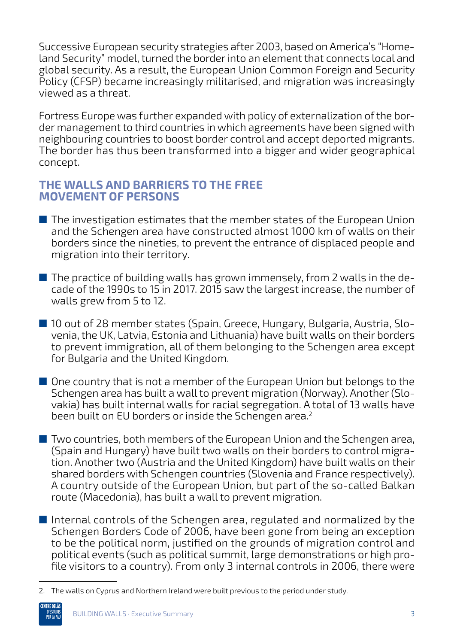Successive European security strategies after 2003, based on America's "Homeland Security" model, turned the border into an element that connects local and global security. As a result, the European Union Common Foreign and Security Policy (CFSP) became increasingly militarised, and migration was increasingly viewed as a threat.

Fortress Europe was further expanded with policy of externalization of the border management to third countries in which agreements have been signed with neighbouring countries to boost border control and accept deported migrants. The border has thus been transformed into a bigger and wider geographical concept.

#### **The walls and barriers to the free movement of persons**

- The investigation estimates that the member states of the European Union and the Schengen area have constructed almost 1000 km of walls on their borders since the nineties, to prevent the entrance of displaced people and migration into their territory.
- $\blacksquare$  The practice of building walls has grown immensely, from 2 walls in the decade of the 1990s to 15 in 2017. 2015 saw the largest increase, the number of walls grew from 5 to 12.
- 10 out of 28 member states (Spain, Greece, Hungary, Bulgaria, Austria, Slovenia, the UK, Latvia, Estonia and Lithuania) have built walls on their borders to prevent immigration, all of them belonging to the Schengen area except for Bulgaria and the United Kingdom.
- One country that is not a member of the European Union but belongs to the Schengen area has built a wall to prevent migration (Norway). Another (Slovakia) has built internal walls for racial segregation. A total of 13 walls have been built on EU borders or inside the Schengen area.<sup>2</sup>
- Two countries, both members of the European Union and the Schengen area, (Spain and Hungary) have built two walls on their borders to control migration. Another two (Austria and the United Kingdom) have built walls on their shared borders with Schengen countries (Slovenia and France respectively). A country outside of the European Union, but part of the so-called Balkan route (Macedonia), has built a wall to prevent migration.
- Internal controls of the Schengen area, regulated and normalized by the Schengen Borders Code of 2006, have been gone from being an exception to be the political norm, justified on the grounds of migration control and political events (such as political summit, large demonstrations or high profile visitors to a country). From only 3 internal controls in 2006, there were

<sup>2.</sup> The walls on Cyprus and Northern Ireland were built previous to the period under study.

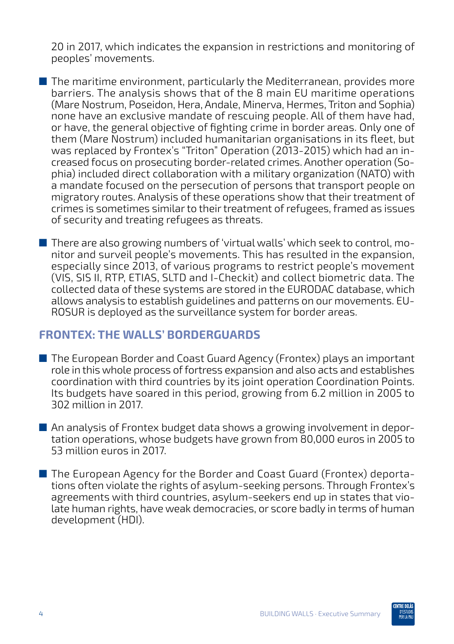20 in 2017, which indicates the expansion in restrictions and monitoring of peoples' movements.

- The maritime environment, particularly the Mediterranean, provides more barriers. The analysis shows that of the 8 main EU maritime operations (Mare Nostrum, Poseidon, Hera, Andale, Minerva, Hermes, Triton and Sophia) none have an exclusive mandate of rescuing people. All of them have had, or have, the general objective of fighting crime in border areas. Only one of them (Mare Nostrum) included humanitarian organisations in its fleet, but was replaced by Frontex's "Triton" Operation (2013-2015) which had an increased focus on prosecuting border-related crimes. Another operation (Sophia) included direct collaboration with a military organization (NATO) with a mandate focused on the persecution of persons that transport people on migratory routes. Analysis of these operations show that their treatment of crimes is sometimes similar to their treatment of refugees, framed as issues of security and treating refugees as threats.
- There are also growing numbers of 'virtual walls' which seek to control, monitor and surveil people's movements. This has resulted in the expansion, especially since 2013, of various programs to restrict people's movement (VIS, SIS II, RTP, ETIAS, SLTD and I-Checkit) and collect biometric data. The collected data of these systems are stored in the EURODAC database, which allows analysis to establish guidelines and patterns on our movements. EU-ROSUR is deployed as the surveillance system for border areas.

#### **Frontex: the walls' borderguards**

- The European Border and Coast Guard Agency (Frontex) plays an important role in this whole process of fortress expansion and also acts and establishes coordination with third countries by its joint operation Coordination Points. Its budgets have soared in this period, growing from 6.2 million in 2005 to 302 million in 2017.
- An analysis of Frontex budget data shows a growing involvement in deportation operations, whose budgets have grown from 80,000 euros in 2005 to 53 million euros in 2017.
- The European Agency for the Border and Coast Guard (Frontex) deportations often violate the rights of asylum-seeking persons. Through Frontex's agreements with third countries, asylum-seekers end up in states that violate human rights, have weak democracies, or score badly in terms of human development (HDI).

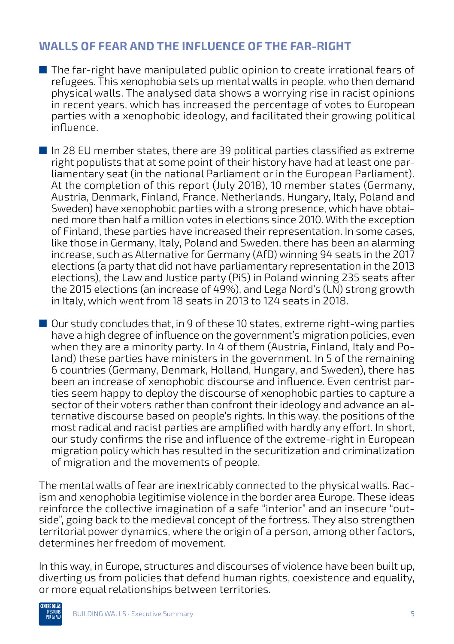### **Walls of fear and the influence of the far-right**

- The far-right have manipulated public opinion to create irrational fears of refugees. This xenophobia sets up mental walls in people, who then demand physical walls. The analysed data shows a worrying rise in racist opinions in recent years, which has increased the percentage of votes to European parties with a xenophobic ideology, and facilitated their growing political influence.
- $\blacksquare$  In 28 EU member states, there are 39 political parties classified as extreme right populists that at some point of their history have had at least one parliamentary seat (in the national Parliament or in the European Parliament). At the completion of this report (July 2018), 10 member states (Germany, Austria, Denmark, Finland, France, Netherlands, Hungary, Italy, Poland and Sweden) have xenophobic parties with a strong presence, which have obtained more than half a million votes in elections since 2010. With the exception of Finland, these parties have increased their representation. In some cases, like those in Germany, Italy, Poland and Sweden, there has been an alarming increase, such as Alternative for Germany (AfD) winning 94 seats in the 2017 elections (a party that did not have parliamentary representation in the 2013 elections), the Law and Justice party (PiS) in Poland winning 235 seats after the 2015 elections (an increase of 49%), and Lega Nord's (LN) strong growth in Italy, which went from 18 seats in 2013 to 124 seats in 2018.
- Our study concludes that, in 9 of these 10 states, extreme right-wing parties have a high degree of influence on the government's migration policies, even when they are a minority party. In 4 of them (Austria, Finland, Italy and Poland) these parties have ministers in the government. In 5 of the remaining 6 countries (Germany, Denmark, Holland, Hungary, and Sweden), there has been an increase of xenophobic discourse and influence. Even centrist parties seem happy to deploy the discourse of xenophobic parties to capture a sector of their voters rather than confront their ideology and advance an alternative discourse based on people's rights. In this way, the positions of the most radical and racist parties are amplified with hardly any effort. In short, our study confirms the rise and influence of the extreme-right in European migration policy which has resulted in the securitization and criminalization of migration and the movements of people.

The mental walls of fear are inextricably connected to the physical walls. Racism and xenophobia legitimise violence in the border area Europe. These ideas reinforce the collective imagination of a safe "interior" and an insecure "outside", going back to the medieval concept of the fortress. They also strengthen territorial power dynamics, where the origin of a person, among other factors, determines her freedom of movement.

In this way, in Europe, structures and discourses of violence have been built up, diverting us from policies that defend human rights, coexistence and equality, or more equal relationships between territories.

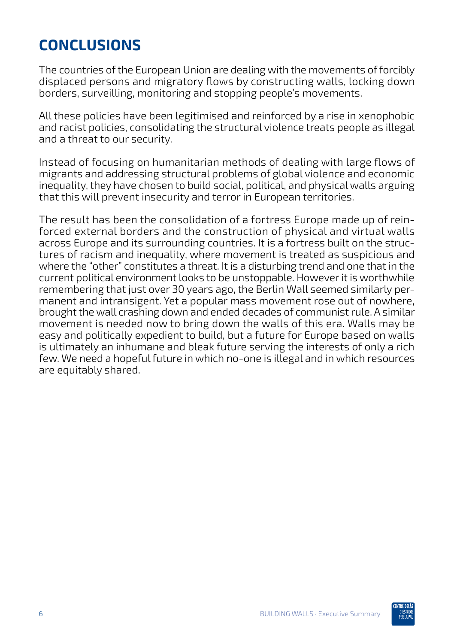## **Conclusions**

The countries of the European Union are dealing with the movements of forcibly displaced persons and migratory flows by constructing walls, locking down borders, surveilling, monitoring and stopping people's movements.

All these policies have been legitimised and reinforced by a rise in xenophobic and racist policies, consolidating the structural violence treats people as illegal and a threat to our security.

Instead of focusing on humanitarian methods of dealing with large flows of migrants and addressing structural problems of global violence and economic inequality, they have chosen to build social, political, and physical walls arguing that this will prevent insecurity and terror in European territories.

The result has been the consolidation of a fortress Europe made up of reinforced external borders and the construction of physical and virtual walls across Europe and its surrounding countries. It is a fortress built on the structures of racism and inequality, where movement is treated as suspicious and where the "other" constitutes a threat. It is a disturbing trend and one that in the current political environment looks to be unstoppable. However it is worthwhile remembering that just over 30 years ago, the Berlin Wall seemed similarly permanent and intransigent. Yet a popular mass movement rose out of nowhere, brought the wall crashing down and ended decades of communist rule. A similar movement is needed now to bring down the walls of this era. Walls may be easy and politically expedient to build, but a future for Europe based on walls is ultimately an inhumane and bleak future serving the interests of only a rich few. We need a hopeful future in which no-one is illegal and in which resources are equitably shared.